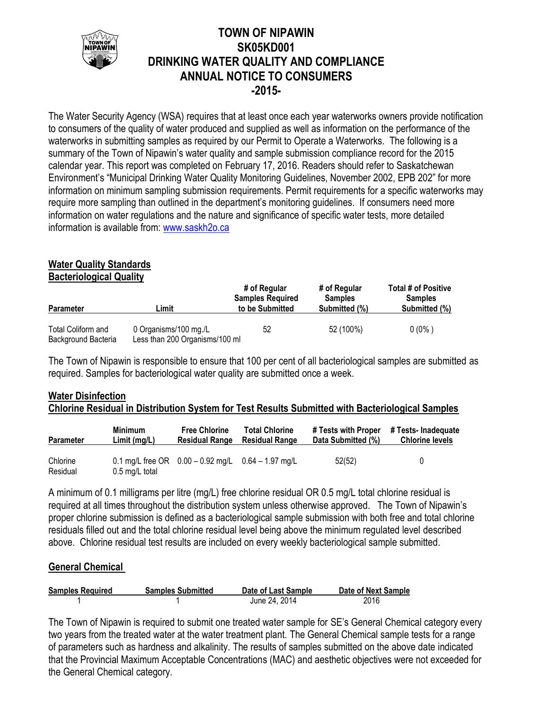

# **TOWN OF NIPAWIN SK05KD001 DRINKING WATER QUALITY AND COMPLIANCE ANNUAL NOTICE TO CONSUMERS -2015-**

The Water Security Agency (WSA) requires that at least once each year waterworks owners provide notification to consumers of the quality of water produced and supplied as well as information on the performance of the waterworks in submitting samples as required by our Permit to Operate a Waterworks. The following is a summary of the Town of Nipawin's water quality and sample submission compliance record for the 2015 calendar year. This report was completed on February 17, 2016. Readers should refer to Saskatchewan Environment's "Municipal Drinking Water Quality Monitoring Guidelines, November 2002, EPB 202" for more information on minimum sampling submission requirements. Permit requirements for a specific waterworks may require more sampling than outlined in the department's monitoring guidelines. If consumers need more information on water regulations and the nature and significance of specific water tests, more detailed information is available from: [www.saskh2o.ca](http://www.saskh2o.ca/)

## **Water Quality Standards**

**Bacteriological Quality**

| <b>Parameter</b>                          | ∟imit                                                   | # of Regular<br><b>Samples Required</b><br>to be Submitted | # of Regular<br><b>Samples</b><br>Submitted (%) | <b>Total # of Positive</b><br><b>Samples</b><br>Submitted (%) |  |
|-------------------------------------------|---------------------------------------------------------|------------------------------------------------------------|-------------------------------------------------|---------------------------------------------------------------|--|
| Total Coliform and<br>Background Bacteria | 0 Organisms/100 mg./L<br>Less than 200 Organisms/100 ml | 52                                                         | 52 (100%)                                       | $0(0\%)$                                                      |  |

The Town of Nipawin is responsible to ensure that 100 per cent of all bacteriological samples are submitted as required. Samples for bacteriological water quality are submitted once a week.

## **Water Disinfection Chlorine Residual in Distribution System for Test Results Submitted with Bacteriological Samples**

| <b>Parameter</b>     | <b>Minimum</b>           | <b>Free Chlorine</b>                                   | <b>Total Chlorine</b> | # Tests with Proper | # Tests- Inadequate    |
|----------------------|--------------------------|--------------------------------------------------------|-----------------------|---------------------|------------------------|
|                      | Limit (mg/L)             | <b>Residual Range</b>                                  | <b>Residual Range</b> | Data Submitted (%)  | <b>Chlorine levels</b> |
| Chlorine<br>Residual | $0.5 \text{ mg/L}$ total | 0.1 mg/L free OR $0.00 - 0.92$ mg/L $0.64 - 1.97$ mg/L |                       | 52(52)              | 0                      |

A minimum of 0.1 milligrams per litre (mg/L) free chlorine residual OR 0.5 mg/L total chlorine residual is required at all times throughout the distribution system unless otherwise approved. The Town of Nipawin's proper chlorine submission is defined as a bacteriological sample submission with both free and total chlorine residuals filled out and the total chlorine residual level being above the minimum regulated level described above. Chlorine residual test results are included on every weekly bacteriological sample submitted.

## **General Chemical**

| <b>Samples Required</b> | <b>Samples Submitted</b> | Date of Last Sample | Date of Next Sample |
|-------------------------|--------------------------|---------------------|---------------------|
|                         |                          | June 24, 2014       | 2016                |

The Town of Nipawin is required to submit one treated water sample for SE's General Chemical category every two years from the treated water at the water treatment plant. The General Chemical sample tests for a range of parameters such as hardness and alkalinity. The results of samples submitted on the above date indicated that the Provincial Maximum Acceptable Concentrations (MAC) and aesthetic objectives were not exceeded for the General Chemical category.